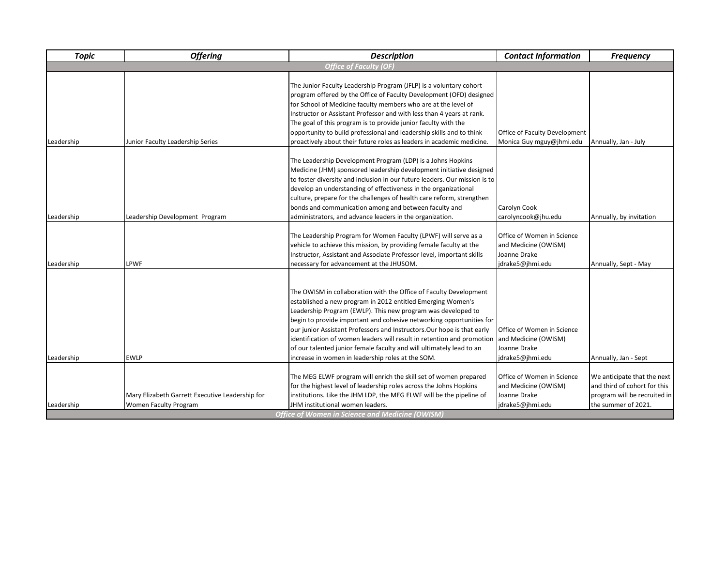| <b>Topic</b> | <b>Offering</b>                                                                 | <b>Description</b>                                                                                                                                                                                                                                                                                                                                                                                                                                                                                                                                         | <b>Contact Information</b>                                                             | <b>Frequency</b>                                                                                                   |
|--------------|---------------------------------------------------------------------------------|------------------------------------------------------------------------------------------------------------------------------------------------------------------------------------------------------------------------------------------------------------------------------------------------------------------------------------------------------------------------------------------------------------------------------------------------------------------------------------------------------------------------------------------------------------|----------------------------------------------------------------------------------------|--------------------------------------------------------------------------------------------------------------------|
|              |                                                                                 | <b>Office of Faculty (OF)</b>                                                                                                                                                                                                                                                                                                                                                                                                                                                                                                                              |                                                                                        |                                                                                                                    |
| Leadership   | Junior Faculty Leadership Series                                                | The Junior Faculty Leadership Program (JFLP) is a voluntary cohort<br>program offered by the Office of Faculty Development (OFD) designed<br>for School of Medicine faculty members who are at the level of<br>Instructor or Assistant Professor and with less than 4 years at rank.<br>The goal of this program is to provide junior faculty with the<br>opportunity to build professional and leadership skills and to think<br>proactively about their future roles as leaders in academic medicine.                                                    | Office of Faculty Development<br>Monica Guy mguy@jhmi.edu                              | Annually, Jan - July                                                                                               |
| Leadership   | Leadership Development Program                                                  | The Leadership Development Program (LDP) is a Johns Hopkins<br>Medicine (JHM) sponsored leadership development initiative designed<br>to foster diversity and inclusion in our future leaders. Our mission is to<br>develop an understanding of effectiveness in the organizational<br>culture, prepare for the challenges of health care reform, strengthen<br>bonds and communication among and between faculty and<br>administrators, and advance leaders in the organization.                                                                          | Carolyn Cook<br>carolyncook@jhu.edu                                                    | Annually, by invitation                                                                                            |
| Leadership   | LPWF                                                                            | The Leadership Program for Women Faculty (LPWF) will serve as a<br>vehicle to achieve this mission, by providing female faculty at the<br>Instructor, Assistant and Associate Professor level, important skills<br>necessary for advancement at the JHUSOM.                                                                                                                                                                                                                                                                                                | Office of Women in Science<br>and Medicine (OWISM)<br>Joanne Drake<br>jdrake5@jhmi.edu | Annually, Sept - May                                                                                               |
| Leadership   | <b>EWLP</b>                                                                     | The OWISM in collaboration with the Office of Faculty Development<br>established a new program in 2012 entitled Emerging Women's<br>Leadership Program (EWLP). This new program was developed to<br>begin to provide important and cohesive networking opportunities for<br>our junior Assistant Professors and Instructors. Our hope is that early<br>identification of women leaders will result in retention and promotion<br>of our talented junior female faculty and will ultimately lead to an<br>increase in women in leadership roles at the SOM. | Office of Women in Science<br>and Medicine (OWISM)<br>Joanne Drake<br>jdrake5@jhmi.edu | Annually, Jan - Sept                                                                                               |
| Leadership   | Mary Elizabeth Garrett Executive Leadership for<br><b>Women Faculty Program</b> | The MEG ELWF program will enrich the skill set of women prepared<br>for the highest level of leadership roles across the Johns Hopkins<br>institutions. Like the JHM LDP, the MEG ELWF will be the pipeline of<br>JHM institutional women leaders.<br>Office of Women in Science and Medicine (OWISM)                                                                                                                                                                                                                                                      | Office of Women in Science<br>and Medicine (OWISM)<br>Joanne Drake<br>jdrake5@jhmi.edu | We anticipate that the next<br>and third of cohort for this<br>program will be recruited in<br>the summer of 2021. |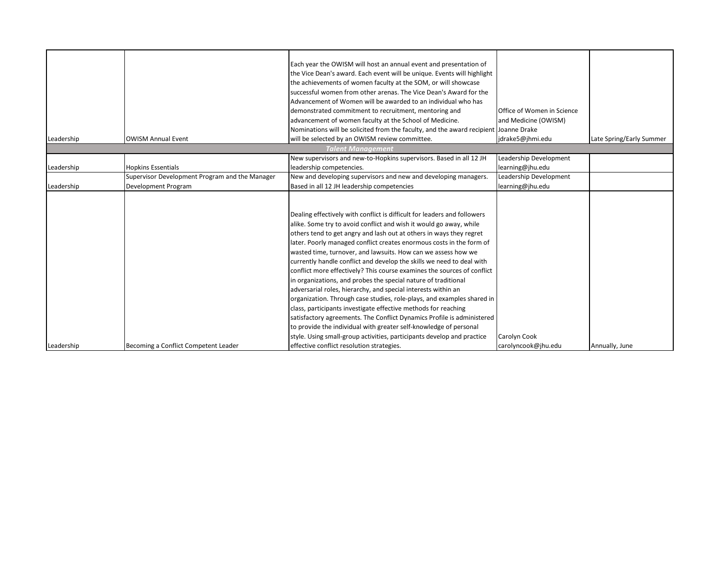|            |                                                | Each year the OWISM will host an annual event and presentation of                    |                            |                          |
|------------|------------------------------------------------|--------------------------------------------------------------------------------------|----------------------------|--------------------------|
|            |                                                | the Vice Dean's award. Each event will be unique. Events will highlight              |                            |                          |
|            |                                                | the achievements of women faculty at the SOM, or will showcase                       |                            |                          |
|            |                                                | successful women from other arenas. The Vice Dean's Award for the                    |                            |                          |
|            |                                                | Advancement of Women will be awarded to an individual who has                        |                            |                          |
|            |                                                | demonstrated commitment to recruitment, mentoring and                                | Office of Women in Science |                          |
|            |                                                | advancement of women faculty at the School of Medicine.                              | and Medicine (OWISM)       |                          |
|            |                                                | Nominations will be solicited from the faculty, and the award recipient Joanne Drake |                            |                          |
| Leadership | <b>OWISM Annual Event</b>                      | will be selected by an OWISM review committee.                                       | jdrake5@jhmi.edu           | Late Spring/Early Summer |
|            |                                                | <b>Talent Management</b>                                                             |                            |                          |
|            |                                                | New supervisors and new-to-Hopkins supervisors. Based in all 12 JH                   | Leadership Development     |                          |
| Leadership | <b>Hopkins Essentials</b>                      | leadership competencies.                                                             | learning@jhu.edu           |                          |
|            | Supervisor Development Program and the Manager | New and developing supervisors and new and developing managers.                      | Leadership Development     |                          |
| Leadership | Development Program                            | Based in all 12 JH leadership competencies                                           | learning@jhu.edu           |                          |
|            |                                                |                                                                                      |                            |                          |
|            |                                                |                                                                                      |                            |                          |
|            |                                                | Dealing effectively with conflict is difficult for leaders and followers             |                            |                          |
|            |                                                | alike. Some try to avoid conflict and wish it would go away, while                   |                            |                          |
|            |                                                | others tend to get angry and lash out at others in ways they regret                  |                            |                          |
|            |                                                | later. Poorly managed conflict creates enormous costs in the form of                 |                            |                          |
|            |                                                | wasted time, turnover, and lawsuits. How can we assess how we                        |                            |                          |
|            |                                                | currently handle conflict and develop the skills we need to deal with                |                            |                          |
|            |                                                | conflict more effectively? This course examines the sources of conflict              |                            |                          |
|            |                                                | in organizations, and probes the special nature of traditional                       |                            |                          |
|            |                                                | adversarial roles, hierarchy, and special interests within an                        |                            |                          |
|            |                                                | organization. Through case studies, role-plays, and examples shared in               |                            |                          |
|            |                                                | class, participants investigate effective methods for reaching                       |                            |                          |
|            |                                                | satisfactory agreements. The Conflict Dynamics Profile is administered               |                            |                          |
|            |                                                | to provide the individual with greater self-knowledge of personal                    |                            |                          |
|            |                                                | style. Using small-group activities, participants develop and practice               | Carolyn Cook               |                          |
| Leadership | Becoming a Conflict Competent Leader           | effective conflict resolution strategies.                                            | carolyncook@jhu.edu        | Annually, June           |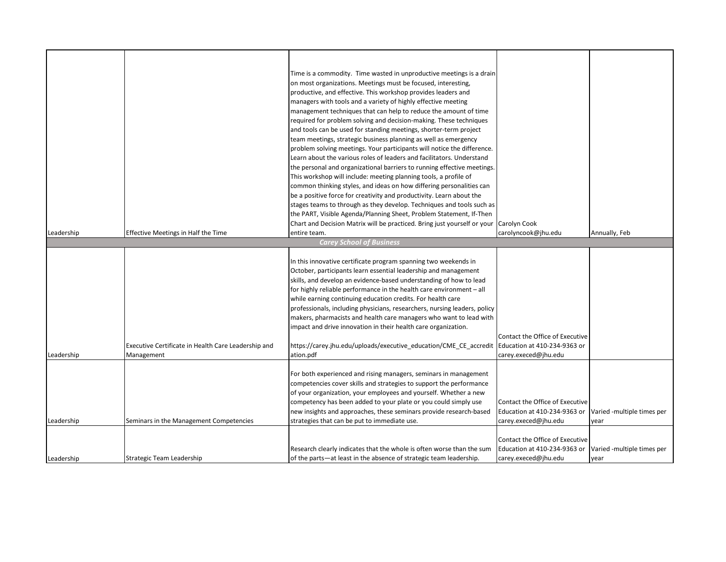|            |                                                     | Time is a commodity. Time wasted in unproductive meetings is a drain<br>on most organizations. Meetings must be focused, interesting, |                                 |                            |
|------------|-----------------------------------------------------|---------------------------------------------------------------------------------------------------------------------------------------|---------------------------------|----------------------------|
|            |                                                     | productive, and effective. This workshop provides leaders and                                                                         |                                 |                            |
|            |                                                     | managers with tools and a variety of highly effective meeting                                                                         |                                 |                            |
|            |                                                     | management techniques that can help to reduce the amount of time                                                                      |                                 |                            |
|            |                                                     | required for problem solving and decision-making. These techniques                                                                    |                                 |                            |
|            |                                                     | and tools can be used for standing meetings, shorter-term project                                                                     |                                 |                            |
|            |                                                     | team meetings, strategic business planning as well as emergency                                                                       |                                 |                            |
|            |                                                     | problem solving meetings. Your participants will notice the difference.                                                               |                                 |                            |
|            |                                                     | Learn about the various roles of leaders and facilitators. Understand                                                                 |                                 |                            |
|            |                                                     | the personal and organizational barriers to running effective meetings.                                                               |                                 |                            |
|            |                                                     | This workshop will include: meeting planning tools, a profile of                                                                      |                                 |                            |
|            |                                                     | common thinking styles, and ideas on how differing personalities can                                                                  |                                 |                            |
|            |                                                     | be a positive force for creativity and productivity. Learn about the                                                                  |                                 |                            |
|            |                                                     | stages teams to through as they develop. Techniques and tools such as                                                                 |                                 |                            |
|            |                                                     | the PART, Visible Agenda/Planning Sheet, Problem Statement, If-Then                                                                   |                                 |                            |
|            |                                                     | Chart and Decision Matrix will be practiced. Bring just yourself or your Carolyn Cook                                                 |                                 |                            |
| Leadership | Effective Meetings in Half the Time                 | entire team.                                                                                                                          | carolyncook@jhu.edu             | Annually, Feb              |
|            |                                                     | <b>Carey School of Business</b>                                                                                                       |                                 |                            |
|            |                                                     |                                                                                                                                       |                                 |                            |
|            |                                                     | In this innovative certificate program spanning two weekends in                                                                       |                                 |                            |
|            |                                                     | October, participants learn essential leadership and management                                                                       |                                 |                            |
|            |                                                     | skills, and develop an evidence-based understanding of how to lead                                                                    |                                 |                            |
|            |                                                     | for highly reliable performance in the health care environment - all                                                                  |                                 |                            |
|            |                                                     | while earning continuing education credits. For health care                                                                           |                                 |                            |
|            |                                                     | professionals, including physicians, researchers, nursing leaders, policy                                                             |                                 |                            |
|            |                                                     | makers, pharmacists and health care managers who want to lead with                                                                    |                                 |                            |
|            |                                                     | impact and drive innovation in their health care organization.                                                                        |                                 |                            |
|            |                                                     |                                                                                                                                       | Contact the Office of Executive |                            |
|            | Executive Certificate in Health Care Leadership and | https://carey.jhu.edu/uploads/executive education/CME CE accredit Education at 410-234-9363 or                                        |                                 |                            |
| Leadership | Management                                          | ation.pdf                                                                                                                             | carey.execed@jhu.edu            |                            |
|            |                                                     |                                                                                                                                       |                                 |                            |
|            |                                                     | For both experienced and rising managers, seminars in management                                                                      |                                 |                            |
|            |                                                     | competencies cover skills and strategies to support the performance                                                                   |                                 |                            |
|            |                                                     | of your organization, your employees and yourself. Whether a new                                                                      |                                 |                            |
|            |                                                     | competency has been added to your plate or you could simply use                                                                       | Contact the Office of Executive |                            |
|            |                                                     | new insights and approaches, these seminars provide research-based                                                                    | Education at 410-234-9363 or    | Varied -multiple times per |
| Leadership | Seminars in the Management Competencies             | strategies that can be put to immediate use.                                                                                          | carey.execed@jhu.edu            | year                       |
|            |                                                     |                                                                                                                                       |                                 |                            |
|            |                                                     |                                                                                                                                       | Contact the Office of Executive |                            |
|            |                                                     | Research clearly indicates that the whole is often worse than the sum                                                                 | Education at 410-234-9363 or    | Varied -multiple times per |
| Leadership | Strategic Team Leadership                           | of the parts-at least in the absence of strategic team leadership.                                                                    | carey.execed@jhu.edu            | year                       |